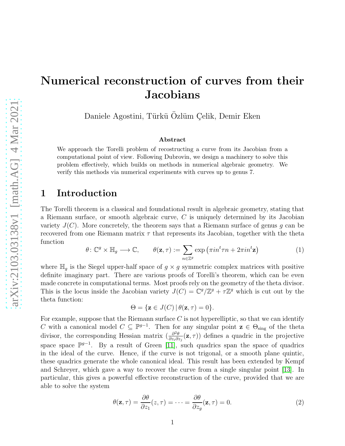# Numerical reconstruction of curves from their **Jacobians**

Daniele Agostini, Türkü Özlüm Çelik, Demir Eken

#### Abstract

We approach the Torelli problem of recostructing a curve from its Jacobian from a computational point of view. Following Dubrovin, we design a machinery to solve this problem effectively, which builds on methods in numerical algebraic geometry. We verify this methods via numerical experiments with curves up to genus 7.

## 1 Introduction

The Torelli theorem is a classical and foundational result in algebraic geometry, stating that a Riemann surface, or smooth algebraic curve, C is uniquely determined by its Jacobian variety  $J(C)$ . More concretely, the theorem says that a Riemann surface of genus g can be recovered from one Riemann matrix  $\tau$  that represents its Jacobian, together with the theta function

<span id="page-0-1"></span>
$$
\theta \colon \mathbb{C}^g \times \mathbb{H}_g \longrightarrow \mathbb{C}, \qquad \theta(\mathbf{z}, \tau) := \sum_{n \in \mathbb{Z}^g} \exp\left(\pi i n^t \tau n + 2\pi i n^t \mathbf{z}\right) \tag{1}
$$

where  $\mathbb{H}_q$  is the Siegel upper-half space of  $g \times g$  symmetric complex matrices with positive definite imaginary part. There are various proofs of Torelli's theorem, which can be even made concrete in computational terms. Most proofs rely on the geometry of the theta divisor. This is the locus inside the Jacobian variety  $J(C) = \mathbb{C}^g/\mathbb{Z}^g + \tau \mathbb{Z}^g$  which is cut out by the theta function:

$$
\Theta = \{ \mathbf{z} \in J(C) \, | \, \theta(\mathbf{z}, \tau) = 0 \}.
$$

For example, suppose that the Riemann surface  $C$  is not hyperelliptic, so that we can identify C with a canonical model  $C \subseteq \mathbb{P}^{g-1}$ . Then for any singular point  $z \in \Theta_{sing}$  of the theta divisor, the corresponding Hessian matrix  $\left(\frac{\partial^2 \theta}{\partial x \partial y}\right)$  $\frac{\partial^2 \theta}{\partial z_i \partial z_j}(\mathbf{z}, \tau)$  defines a quadric in the projective space space  $\mathbb{P}^{g-1}$ . By a result of Green [\[11\]](#page-10-0), such quadrics span the space of quadrics in the ideal of the curve. Hence, if the curve is not trigonal, or a smooth plane quintic, these quadrics generate the whole canonical ideal. This result has been extended by Kempf and Schreyer, which gave a way to recover the curve from a single singular point [\[13\]](#page-10-1). In particular, this gives a powerful effective reconstruction of the curve, provided that we are able to solve the system

<span id="page-0-0"></span>
$$
\theta(\mathbf{z}, \tau) = \frac{\partial \theta}{\partial z_1}(z, \tau) = \dots = \frac{\partial \theta}{\partial z_g}(\mathbf{z}, \tau) = 0.
$$
\n(2)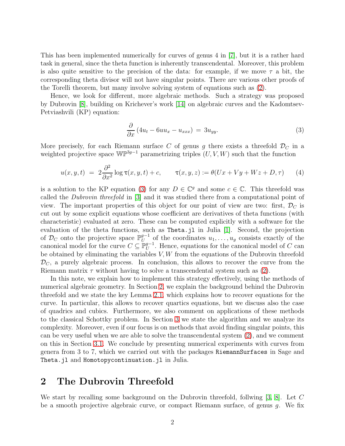This has been implemented numerically for curves of genus 4 in [\[7\]](#page-10-2), but it is a rather hard task in general, since the theta function is inherently transcendental. Moreover, this problem is also quite sensitive to the precision of the data: for example, if we move  $\tau$  a bit, the corresponding theta divisor will not have singular points. There are various other proofs of the Torelli theorem, but many involve solving system of equations such as [\(2\)](#page-0-0).

Hence, we look for different, more algebraic methods. Such a strategy was proposed by Dubrovin [\[8\]](#page-10-3), building on Krichever's work [\[14\]](#page-10-4) on algebraic curves and the Kadomtsev-Petviashvili (KP) equation:

<span id="page-1-0"></span>
$$
\frac{\partial}{\partial x} \left( 4u_t - 6uu_x - u_{xxx} \right) = 3u_{yy}.\tag{3}
$$

More precisely, for each Riemann surface C of genus g there exists a threefold  $\mathcal{D}_C$  in a weighted projective space  $\mathbb{WP}^{3g-1}$  parametrizing triples  $(U, V, W)$  such that the function

<span id="page-1-2"></span>
$$
u(x, y, t) = 2\frac{\partial^2}{\partial x^2} \log \tau(x, y, t) + c, \qquad \tau(x, y, z) := \theta(Ux + Vy + Wz + D, \tau) \tag{4}
$$

is a solution to the KP equation [\(3\)](#page-1-0) for any  $D \in \mathbb{C}^g$  and some  $c \in \mathbb{C}$ . This threefold was called the Dubrovin threefold in [\[3\]](#page-10-5) and it was studied there from a computational point of view. The important properties of this object for our point of view are two: first,  $\mathcal{D}_C$  is cut out by some explicit equations whose coefficient are derivatives of theta functions (with characteristic) evaluated at zero. These can be computed explicitly with a software for the evaluation of the theta functions, such as Theta.jl in Julia [\[1\]](#page-10-6). Second, the projection of  $\mathcal{D}_C$  onto the projective space  $\mathbb{P}_U^{g-1}$  $\mathbb{U}^{g-1}$  of the coordinates  $u_1, \ldots, u_g$  consists exactly of the canonical model for the curve  $C \subseteq \mathbb{P}^{g-1}_U$  $U$ <sup> $g-1$ </sup>. Hence, equations for the canonical model of C can be obtained by eliminating the variables  $V, W$  from the equations of the Dubrovin threefold  $\mathcal{D}_C$ , a purely algebraic process. In conclusion, this allows to recover the curve from the Riemann matrix  $\tau$  without having to solve a transcendental system such as [\(2\)](#page-0-0).

In this note, we explain how to implement this strategy effectively, using the methods of numerical algebraic geometry. In Section [2,](#page-1-1) we explain the background behind the Dubrovin threefold and we state the key Lemma [2.1,](#page-3-0) which explains how to recover equations for the curve. In particular, this allows to recover quartics equations, but we discuss also the case of quadrics and cubics. Furthermore, we also comment on applications of these methods to the classical Schottky problem. In Section [3](#page-4-0) we state the algorithm and we analyze its complexity. Moreover, even if our focus is on methods that avoid finding singular points, this can be very useful when we are able to solve the transcendental system [\(2\)](#page-0-0), and we comment on this in Section [3.1.](#page-5-0) We conclude by presenting numerical experiments with curves from genera from 3 to 7, which we carried out with the packages RiemannSurfaces in Sage and Theta. j1 and Homotopycontinuation. j1 in Julia.

### <span id="page-1-1"></span>2 The Dubrovin Threefold

We start by recalling some background on the Dubrovin threefold, follwing [\[3,](#page-10-5) [8\]](#page-10-3). Let C be a smooth projective algebraic curve, or compact Riemann surface, of genus g. We fix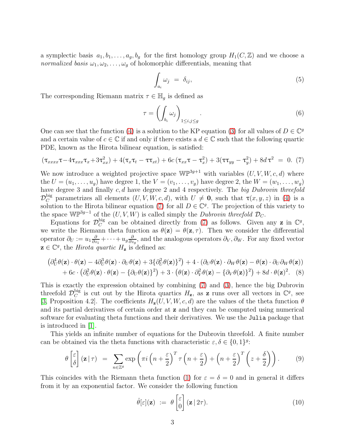a symplectic basis  $a_1, b_1, \ldots, a_g, b_g$  for the first homology group  $H_1(C, \mathbb{Z})$  and we choose a normalized basis  $\omega_1, \omega_2, \ldots, \omega_g$  of holomorphic differentials, meaning that

<span id="page-2-2"></span>
$$
\int_{a_i} \omega_j = \delta_{ij}, \tag{5}
$$

The corresponding Riemann matrix  $\tau \in \mathbb{H}_g$  is defined as

$$
\tau = \left(\int_{b_i} \omega_j\right)_{1 \le i,j \le g}.\tag{6}
$$

One can see that the function [\(4\)](#page-1-2) is a solution to the KP equation [\(3\)](#page-1-0) for all values of  $D \in \mathbb{C}^g$ and a certain value of  $c \in \mathbb{C}$  if and only if there exists a  $d \in \mathbb{C}$  such that the following quartic PDE, known as the Hirota bilinear equation, is satisfied:

<span id="page-2-0"></span>
$$
(\tau_{xxxx}\tau - 4\tau_{xxx}\tau_x + 3\tau_{xx}^2) + 4(\tau_x\tau_t - \tau\tau_{xt}) + 6c(\tau_{xx}\tau - \tau_x^2) + 3(\tau\tau_{yy} - \tau_y^2) + 8d\tau^2 = 0. (7)
$$

We now introduce a weighted projective space  $\mathbb{WP}^{3g+1}$  with variables  $(U, V, W, c, d)$  where the  $U = (u_1, \ldots, u_g)$  have degree 1, the  $V = (v_1, \ldots, v_g)$  have degree 2, the  $W = (w_1, \ldots, w_g)$ have degree 3 and finally c, d have degree 2 and 4 respectively. The big Dubrovin threefold  $\mathcal{D}_C^{\text{big}}$  parametrizes all elements  $(U, V, W, c, d)$ , with  $U \neq \mathbf{0}$ , such that  $\tau(x, y, z)$  in [\(4\)](#page-1-2) is a solution to the Hirota bilinear equation [\(7\)](#page-2-0) for all  $D \in \mathbb{C}^g$ . The projection of this variety to the space  $\mathbb{WP}^{3g-1}$  of the  $(U, V, W)$  is called simply the *Dubrovin threefold*  $\mathcal{D}_C$ .

Equations for  $\mathcal{D}_C^{\text{big}}$ big can be obtained directly from [\(7\)](#page-2-0) as follows. Given any **z** in  $\mathbb{C}^g$ , we write the Riemann theta function as  $\theta(\mathbf{z}) = \theta(\mathbf{z}, \tau)$ . Then we consider the differential operator  $\partial_U := u_1 \frac{\partial}{\partial z}$  $\frac{\partial}{\partial z_1} + \cdots + u_g \frac{\partial}{\partial z}$  $\frac{\partial}{\partial z_g}$ , and the analogous operators  $\partial_V, \partial_W$ . For any fixed vector  $\mathbf{z} \in \mathbb{C}^g$ , the *Hirota quartic*  $H_{\mathbf{z}}$  is defined as:

$$
\begin{aligned} \left(\partial_U^4 \theta(\mathbf{z}) \cdot \theta(\mathbf{z}) - 4 \partial_U^3 \theta(\mathbf{z}) \cdot \partial_U \theta(\mathbf{z}) + 3 \{\partial_U^2 \theta(\mathbf{z})\}^2\right) + 4 \cdot \left(\partial_U \theta(\mathbf{z}) \cdot \partial_W \theta(\mathbf{z}) - \theta(\mathbf{z}) \cdot \partial_U \partial_W \theta(\mathbf{z})\right) \\ + 6c \cdot \left(\partial_U^2 \theta(\mathbf{z}) \cdot \theta(\mathbf{z}) - \{\partial_U \theta(\mathbf{z})\}^2\right) + 3 \cdot \left(\theta(\mathbf{z}) \cdot \partial_V^2 \theta(\mathbf{z}) - \{\partial_V \theta(\mathbf{z})\}^2\right) + 8d \cdot \theta(\mathbf{z})^2. \end{aligned} \tag{8}
$$

This is exactly the expression obtained by combining [\(7\)](#page-2-0) and [\(3\)](#page-1-0), hence the big Dubrovin threefold  $\mathcal{D}_C^{\text{big}}$ big is cut out by the Hirota quartics  $H_z$ , as z runs over all vectors in  $\mathbb{C}^g$ , see [\[3,](#page-10-5) Proposition 4.2]. The coefficients  $H_{\mathbf{z}}(U, V, W, c, d)$  are the values of the theta function  $\theta$ and its partial derivatives of certain order at z and they can be computed using numerical software for evaluating theta functions and their derivatives. We use the Julia package that is introduced in [\[1\]](#page-10-6).

This yields an infinite number of equations for the Dubrovin threefold. A finite number can be obtained via the theta functions with characteristic  $\varepsilon, \delta \in \{0, 1\}^g$ :

$$
\theta \begin{bmatrix} \varepsilon \\ \delta \end{bmatrix} (\mathbf{z} \mid \tau) = \sum_{n \in \mathbb{Z}^g} \exp \left( \pi i \left( n + \frac{\varepsilon}{2} \right)^T \tau \left( n + \frac{\varepsilon}{2} \right) + \left( n + \frac{\varepsilon}{2} \right)^T \left( z + \frac{\delta}{2} \right) \right). \tag{9}
$$

This coincides with the Riemann theta function [\(1\)](#page-0-1) for  $\varepsilon = \delta = 0$  and in general it differs from it by an exponential factor. We consider the following function

<span id="page-2-1"></span>
$$
\hat{\theta}[\varepsilon](\mathbf{z}) := \theta \begin{bmatrix} \varepsilon \\ 0 \end{bmatrix} (\mathbf{z} | 2\tau). \tag{10}
$$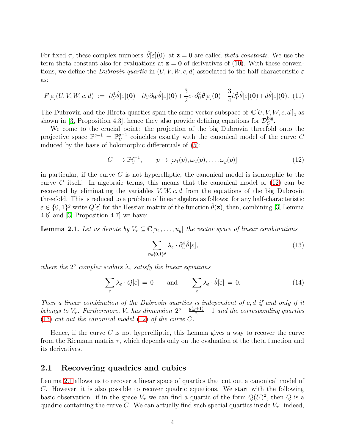For fixed  $\tau$ , these complex numbers  $\hat{\theta}[\varepsilon](0)$  at  $z = 0$  are called theta constants. We use the term theta constant also for evaluations at  $z = 0$  of derivatives of [\(10\)](#page-2-1). With these conventions, we define the Dubrovin quartic in  $(U, V, W, c, d)$  associated to the half-characteristic  $\varepsilon$ as:

<span id="page-3-3"></span>
$$
F[\varepsilon](U, V, W, c, d) := \partial_U^4 \hat{\theta}[\varepsilon](\mathbf{0}) - \partial_U \partial_W \hat{\theta}[\varepsilon](\mathbf{0}) + \frac{3}{2}c \cdot \partial_U^2 \hat{\theta}[\varepsilon](\mathbf{0}) + \frac{3}{4} \partial_V^2 \hat{\theta}[\varepsilon](\mathbf{0}) + d\hat{\theta}[\varepsilon](\mathbf{0}). \tag{11}
$$

The Dubrovin and the Hirota quartics span the same vector subspace of  $\mathbb{C}[U, V, W, c, d]_4$  as shown in [\[3,](#page-10-5) Proposition 4.3], hence they also provide defining equations for  $\mathcal{D}_C^{\text{big}}$  $_C^{\log}.$ 

We come to the crucial point: the projection of the big Dubrovin threefold onto the projective space  $\mathbb{P}^{g-1} = \mathbb{P}^{g-1}_{U}$  $\mathrm{U}^{g-1}$  coincides exactly with the canonical model of the curve C induced by the basis of holomorphic differentials of [\(5\)](#page-2-2):

<span id="page-3-1"></span>
$$
C \longrightarrow \mathbb{P}_{U}^{g-1}, \qquad p \mapsto [\omega_1(p), \omega_2(p), \dots, \omega_g(p)] \tag{12}
$$

in particular, if the curve  $C$  is not hyperelliptic, the canonical model is isomorphic to the curve C itself. In algebraic terms, this means that the canonical model of  $(12)$  can be recovered by eliminating the variables  $V, W, c, d$  from the equations of the big Dubrovin threefold. This is reduced to a problem of linear algebra as follows: for any half-characteristic  $\varepsilon \in \{0,1\}^g$  write  $Q[\varepsilon]$  for the Hessian matrix of the function  $\hat{\theta}(\mathbf{z})$ , then, combining [\[3,](#page-10-5) Lemma 4.6] and [\[3,](#page-10-5) Proposition 4.7] we have:

<span id="page-3-0"></span>**Lemma 2.1.** Let us denote by  $V_{\tau} \subseteq \mathbb{C}[u_1,\ldots,u_g]$  the vector space of linear combinations

<span id="page-3-2"></span>
$$
\sum_{\varepsilon \in \{0,1\}^g} \lambda_{\varepsilon} \cdot \partial_U^4 \hat{\theta}[\varepsilon],\tag{13}
$$

where the  $2<sup>g</sup>$  complex scalars  $\lambda_{\varepsilon}$  satisfy the linear equations

<span id="page-3-4"></span>
$$
\sum_{\varepsilon} \lambda_{\varepsilon} \cdot Q[\varepsilon] = 0 \quad \text{and} \quad \sum_{\varepsilon} \lambda_{\varepsilon} \cdot \hat{\theta}[\varepsilon] = 0. \tag{14}
$$

Then a linear combination of the Dubrovin quartics is independent of c, d if and only if it belongs to  $V_{\tau}$ . Furthermore,  $V_{\tau}$  has dimension  $2^{g} - \frac{g(g+1)}{2} - 1$  and the corresponding quartics [\(13\)](#page-3-2) cut out the canonical model [\(12\)](#page-3-1) of the curve C.

Hence, if the curve C is not hyperelliptic, this Lemma gives a way to recover the curve from the Riemann matrix  $\tau$ , which depends only on the evaluation of the theta function and its derivatives.

#### <span id="page-3-5"></span>2.1 Recovering quadrics and cubics

Lemma [2.1](#page-3-0) allows us to recover a linear space of quartics that cut out a canonical model of C. However, it is also possible to recover quadric equations. We start with the following basic observation: if in the space  $V_{\tau}$  we can find a quartic of the form  $Q(U)^2$ , then Q is a quadric containing the curve C. We can actually find such special quartics inside  $V_\tau$ : indeed,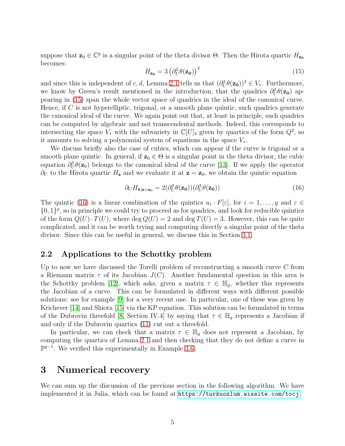suppose that  $\mathbf{z}_0 \in \mathbb{C}^g$  is a singular point of the theta divisor  $\Theta$ . Then the Hirota quartic  $H_{\mathbf{z_0}}$ becomes:

<span id="page-4-1"></span>
$$
H_{\mathbf{z_0}} = 3 \left( \partial_U^2 \theta(\mathbf{z_0}) \right)^2 \tag{15}
$$

and since this is independent of c, d, Lemma [2.1](#page-3-0) tells us that  $(\partial_U^2 \theta(\mathbf{z_0}))^2 \in V_\tau$ . Furthermore, we know by Green's result mentioned in the introduction, that the quadrics  $\partial_U^2 \theta(\mathbf{z_0})$  appearing in [\(15\)](#page-4-1) span the whole vector space of quadrics in the ideal of the canonical curve. Hence, if  $C$  is not hyperelliptic, trigonal, or a smooth plane quintic, such quadrics generate the canonical ideal of the curve. We again point out that, at least in principle, such quadrics can be computed by algebraic and not transcendental methods. Indeed, this corresponds to intersecting the space  $V_{\tau}$  with the subvariety in  $\mathbb{C}[U]_4$  given by quartics of the form  $Q^2$ , so it amounts to solving a polynomial system of equations in the space  $V_{\tau}$ .

We discuss briefly also the case of cubics, which can appear if the curve is trigonal or a smooth plane quintic. In general, if  $z_0 \in \Theta$  is a singular point in the theta divisor, the cubic equation  $\partial_U^3 \theta(\mathbf{z}_0)$  belongs to the canonical ideal of the curve [\[13\]](#page-10-1). If we apply the operator  $\partial_U$  to the Hirota quartic  $H_z$  and we evaluate it at  $z = z_0$ , we obtain the quintic equation

<span id="page-4-2"></span>
$$
\partial_U H_{\mathbf{z}|\mathbf{z}=\mathbf{z}_0} = 2(\partial_U^2 \theta(\mathbf{z}_0))(\partial_U^3 \theta(\mathbf{z}_0))
$$
\n(16)

The quintic [\(16\)](#page-4-2) is a linear combination of the quintics  $u_i \cdot F[\varepsilon]$ , for  $i = 1, \ldots, g$  and  $\varepsilon \in$  $\{0,1\}^g$ , so in principle we could try to proceed as for quadrics, and look for reducible quintics of the form  $Q(U) \cdot T(U)$ , where  $\deg Q(U) = 2$  and  $\deg T(U) = 3$ . However, this can be quite complicated, and it can be worth trying and computing directly a singular point of the theta divisor. Since this can be useful in general, we discuss this in Section [3.1.](#page-5-0)

### <span id="page-4-3"></span>2.2 Applications to the Schottky problem

Up to now we have discussed the Torelli problem of reconstructing a smooth curve  $C$  from a Riemann matrix  $\tau$  of its Jacobian  $J(C)$ . Another fundamental question in this area is the Schottky problem [\[12\]](#page-10-7), which asks, given a matrix  $\tau \in \mathbb{H}_g$ , whether this represents the Jacobian of a curve. This can be formulated in different ways with different possible solutions: see for example [\[9\]](#page-10-8) for a very recent one. In particular, one of these was given by Krichever [\[14\]](#page-10-4) and Shiota [\[15\]](#page-10-9) via the KP equation. This solution can be formulated in terms of the Dubrovin threefold [\[8,](#page-10-3) Section IV.4] by saying that  $\tau \in \mathbb{H}_q$  represents a Jacobian if and only if the Dubrovin quartics [\(11\)](#page-3-3) cut out a threefold.

In particular, we can check that a matrix  $\tau \in \mathbb{H}_q$  does not represent a Jacobian, by computing the quartics of Lemma [2.1](#page-3-0) and then checking that they do not define a curve in  $\mathbb{P}^{g-1}$ . We verified this experimentally in Example [3.6.](#page-9-0)

### <span id="page-4-0"></span>3 Numerical recovery

We can sum up the discussion of the previous section in the following algorithm. We have implemented it in Julia, which can be found at <https://turkuozlum.wixsite.com/tocj>.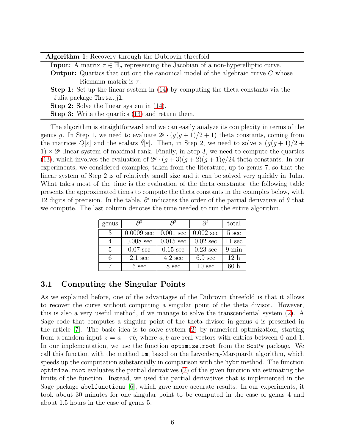<span id="page-5-1"></span>Algorithm 1: Recovery through the Dubrovin threefold

**Input:** A matrix  $\tau \in \mathbb{H}_q$  representing the Jacobian of a non-hyperelliptic curve.

**Output:** Quartics that cut out the canonical model of the algebraic curve C whose Riemann matrix is  $\tau$ .

Step 1: Set up the linear system in [\(14\)](#page-3-4) by computing the theta constants via the Julia package Theta.jl.

Step 2: Solve the linear system in [\(14\)](#page-3-4).

Step 3: Write the quartics [\(13\)](#page-3-2) and return them.

The algorithm is straightforward and we can easily analyze its complexity in terms of the genus g. In Step 1, we need to evaluate  $2^g \cdot (g(g+1)/2+1)$  theta constants, coming from the matrices  $Q[\varepsilon]$  and the scalars  $\theta[\varepsilon]$ . Then, in Step 2, we need to solve a  $(g(g+1)/2 +$  $1) \times 2<sup>g</sup>$  linear system of maximal rank. Finally, in Step 3, we need to compute the quartics [\(13\)](#page-3-2), which involves the evaluation of  $2^g \cdot (g+3)(g+2)(g+1)g/24$  theta constants. In our experiments, we considered examples, taken from the literature, up to genus 7, so that the linear system of Step 2 is of relatively small size and it can be solved very quickly in Julia. What takes most of the time is the evaluation of the theta constants: the following table presents the approximated times to compute the theta constants in the examples below, with 12 digits of precision. In the table,  $\partial^i$  indicates the order of the partial derivative of  $\theta$  that we compute. The last column denotes the time needed to run the entire algorithm.

| genus         | $\partial^0$       |                     |                     | total            |
|---------------|--------------------|---------------------|---------------------|------------------|
| 3             | $0.0009$ sec       | $0.001 \text{ sec}$ | $0.002 \text{ sec}$ | $5 \text{ sec}$  |
|               | $0.008$ sec        | $0.015 \text{ sec}$ | $0.02 \text{ sec}$  | $11 \text{ sec}$ |
| $\frac{5}{2}$ | $0.07 \text{ sec}$ | $0.15 \text{ sec}$  | $0.23 \text{ sec}$  | $9 \text{ min}$  |
|               | $2.1 \text{ sec}$  | $4.2 \text{ sec}$   | $6.9 \text{ sec}$   | 12 <sub>h</sub>  |
|               | $6 \text{ sec}$    | 8 sec               | $10 \text{ sec}$    |                  |

### <span id="page-5-0"></span>3.1 Computing the Singular Points

As we explained before, one of the advantages of the Dubrovin threefold is that it allows to recover the curve without computing a singular point of the theta divisor. However, this is also a very useful method, if we manage to solve the transcendental system [\(2\)](#page-0-0). A Sage code that computes a singular point of the theta divisor in genus 4 is presented in the article [\[7\]](#page-10-2). The basic idea is to solve system [\(2\)](#page-0-0) by numerical optimization, starting from a random input  $z = a + \tau b$ , where a, b are real vectors with entries between 0 and 1. In our implementation, we use the function optimize.root from the SciPy package. We call this function with the method lm, based on the Levenberg-Marquardt algorithm, which speeds up the computation substantially in comparison with the hybr method. The function optimize.root evaluates the partial derivatives  $(2)$  of the given function via estimating the limits of the function. Instead, we used the partial derivatives that is implemented in the Sage package abelfunctions [\[6\]](#page-10-10), which gave more accurate results. In our experiments, it took about 30 minutes for one singular point to be computed in the case of genus 4 and about 1.5 hours in the case of genus 5.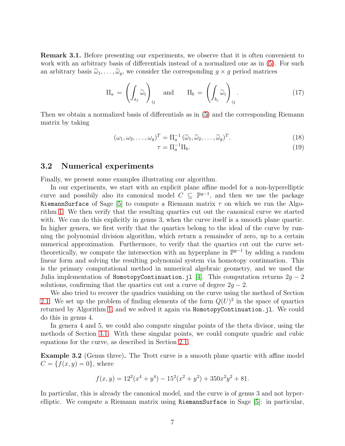Remark 3.1. Before presenting our experiments, we observe that it is often convenient to work with an arbitrary basis of differentials instead of a normalized one as in [\(5\)](#page-2-2). For such an arbitrary basis  $\tilde{\omega}_1, \ldots, \tilde{\omega}_q$ , we consider the corresponding  $g \times g$  period matrices

<span id="page-6-0"></span>
$$
\Pi_a = \left( \int_{a_j} \widetilde{\omega}_i \right)_{ij} \quad \text{and} \quad \Pi_b = \left( \int_{b_j} \widetilde{\omega}_i \right)_{ij} . \tag{17}
$$

Then we obtain a normalized basis of differentials as in [\(5\)](#page-2-2) and the corresponding Riemann matrix by taking

$$
(\omega_1, \omega_2, \dots, \omega_g)^T = \Pi_a^{-1} (\widetilde{\omega}_1, \widetilde{\omega}_2, \dots, \widetilde{\omega}_g)^T.
$$
\n(18)

<span id="page-6-1"></span>
$$
\tau = \Pi_a^{-1} \Pi_b. \tag{19}
$$

#### 3.2 Numerical experiments

Finally, we present some examples illustrating our algorithm.

In our experiments, we start with an explicit plane affine model for a non-hyperelliptic curve and possibily also its canonical model  $C \subseteq \mathbb{P}^{g-1}$ , and then we use the package RiemannSurface of Sage [\[5\]](#page-10-11) to compute a Riemann matrix  $\tau$  on which we run the Algorithm [1.](#page-5-1) We then verify that the resulting quartics cut out the canonical curve we started with. We can do this explicitly in genus 3, when the curve itself is a smooth plane quartic. In higher genera, we first verify that the quartics belong to the ideal of the curve by running the polynomial division algorithm, which return a remainder of zero, up to a certain numerical approximation. Furthermore, to verify that the quartics cut out the curve settheoretically, we compute the intersection with an hyperplane in  $\mathbb{P}^{g-1}$  by adding a random linear form and solving the resulting polynomial system via homotopy continuation. This is the primary computational method in numerical algebraic geometry, and we used the Julia implementation of HomotopyContinuation.jl [\[4\]](#page-10-12). This computation returns  $2g - 2$ solutions, confirming that the quartics cut out a curve of degree  $2q - 2$ .

We also tried to recover the quadrics vanishing on the curve using the method of Section [2.1.](#page-3-5) We set up the problem of finding elements of the form  $Q(U)^2$  in the space of quartics returned by Algorithm [1,](#page-5-1) and we solved it again via HomotopyContinuation.jl. We could do this in genus 4.

In genera 4 and 5, we could also compute singular points of the theta divisor, using the methods of Section [3.1.](#page-5-0) With these singular points, we could compute quadric and cubic equations for the curve, as described in Section [2.1.](#page-3-5)

Example 3.2 (Genus three). The Trott curve is a smooth plane quartic with affine model  $C = \{f(x, y) = 0\}$ , where

$$
f(x,y) = 122(x4 + y4) - 152(x2 + y2) + 350x2y2 + 81.
$$

In particular, this is already the canonical model, and the curve is of genus 3 and not hyperelliptic. We compute a Riemann matrix using RiemannSurface in Sage [\[5\]](#page-10-11): in particular,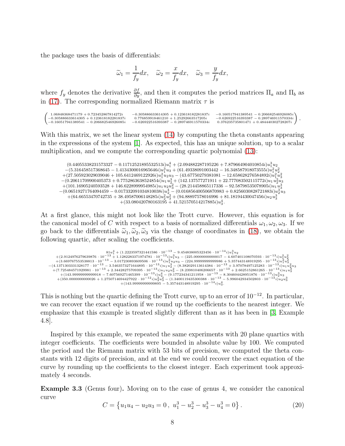the package uses the basis of differentials:

$$
\widetilde{\omega}_1 = \frac{1}{f_y} dx, \quad \widetilde{\omega}_2 = \frac{x}{f_y} dx, \quad \widetilde{\omega}_3 = \frac{y}{f_y} dx,
$$

where  $f_y$  denotes the derivative  $\frac{\partial f}{\partial y}$ , and then it computes the period matrices  $\Pi_a$  and  $\Pi_b$  as in [\(17\)](#page-6-0). The corresponding normalized Riemann matrix  $\tau$  is

| $1.06848368471179 + 0.723452867814272i$   |                                           | $-0.160517941389541 - 0.206682546926085i$ |  |
|-------------------------------------------|-------------------------------------------|-------------------------------------------|--|
|                                           | $-0.305886633614305 + 0.123618182281837i$ |                                           |  |
| $-0.305886633614305 + 0.123618182281837i$ | $0.776859918461210 + 1.25292663517205i$   | $-0.626922516393387 - 0.289746911570334i$ |  |
| $-0.160517941389541 - 0.206682546926085i$ | $-0.626922516393387 - 0.289746911570334i$ | $0.376235735801471 + 0.484440302728207i$  |  |

With this matrix, we set the linear system [\(14\)](#page-3-4) by computing the theta constants appearing in the expressions of the system [\[1\]](#page-10-6). As expected, this has an unique solution, up to a scalar multiplication, and we compute the corresponding quartic polynomial [\(13\)](#page-3-2):

 $( 0.44055338231573327 - 0.11712521895532513i)u_1^4 + ( 2.094882287195226 + 7.879664904010854i)u_1^3u_2$  $-(5.316458517368645 - 1.4134300016965646i)u_1^3u_3 + (61.49338091003442 - 16.348587918073555i)u_1^2u_2^2$  $+(27.505923029039046 + 105.6412469122926 i)u_1^2u_2u_3 - (43.67750279381081 - 12.658628276584892 i)u_1^2u_3^2$  $-(0.20611709900405373 + 0.7752863638524854i)u_1u_2^3 + (142.137577271911 + 22.777083502115772i)u_1u_2^2u_3$  $+(101.16905240593528+146.6228999954985i)u_1u_2u_3^2-(28.214458865117336-92.58798535078905i)u_1u_3^3\\-(0.06519271764094459-0.017332091034810038i)u_2^4-(0.016856400506870983+0.8256030828721883i)u_2^3u_3\\+(64.66553470742735+38.4$  $+(33.080420780163195 + 41.521570514217885i)u_3^4$ .

At a first glance, this might not look like the Trott curve. However, this equation is for the canonical model of C with respect to a basis of normalized differentials  $\omega_1, \omega_2, \omega_3$ . If we go back to the differentials  $\tilde{\omega}_1, \tilde{\omega}_2, \tilde{\omega}_3$  via the change of coordinates in [\(18\)](#page-6-1), we obtain the following quartic, after scaling the coefficients.

```
+ (2.9124976279639876\cdot 10^{-13} + 1.1282283371974781\cdot 10^{-13} i)u_1^3u_3 - (225.00000000000017 - 4.607401108070593\cdot 10^{-13} i)u_1^2u_2^2\\ +(3.669767555538813\cdot 10^{-13} - 3.017230893609506\cdot 10^{-13} i)u_1^2u_2u_3 - (224.99999999999986 + 5
```
This is nothing but the quartic defining the Trott curve, up to an error of  $10^{-12}$ . In particular, we can recover the exact equation if we round up the coefficients to the nearest integer. We emphasize that this example is treated slightly different than as it has been in [\[3,](#page-10-5) Example 4.8].

Inspired by this example, we repeated the same experiments with 20 plane quartics with integer coefficients. The coefficients were bounded in absolute value by 100. We computed the period and the Riemann matrix with 53 bits of precision, we computed the theta constants with 12 digits of precision, and at the end we could recover the exact equation of the curve by rounding up the coefficients to the closest integer. Each experiment took approximately 4 seconds.

<span id="page-7-1"></span>Example 3.3 (Genus four). Moving on to the case of genus 4, we consider the canonical curve

<span id="page-7-0"></span>
$$
C = \{u_1u_4 - u_2u_3 = 0, u_1^3 - u_2^3 - u_3^3 - u_4^3 = 0\}.
$$
 (20)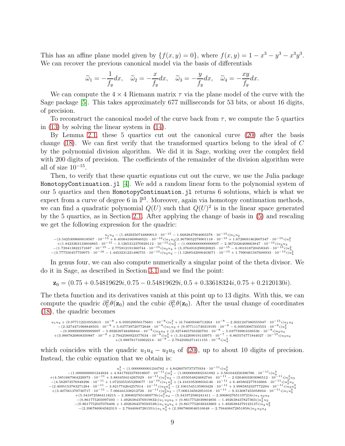This has an affine plane model given by  $\{f(x,y)=0\}$ , where  $f(x,y)=1-x^3-y^3-x^3y^3$ . We can recover the previous canonical model via the basis of differentials

$$
\widetilde{\omega}_1 = -\frac{1}{f_y} dx, \quad \widetilde{\omega}_2 = -\frac{x}{f_y} dx, \quad \widetilde{\omega}_3 = -\frac{y}{f_y} dx, \quad \widetilde{\omega}_4 = -\frac{xy}{f_y} dx.
$$

We can compute the  $4 \times 4$  Riemann matrix  $\tau$  via the plane model of the curve with the Sage package [\[5\]](#page-10-11). This takes approximately 677 milliseconds for 53 bits, or about 16 digits, of precision.

To reconstruct the canonical model of the curve back from  $\tau$ , we compute the 5 quartics in [\(13\)](#page-3-2) by solving the linear system in [\(14\)](#page-3-4).

By Lemma [2.1,](#page-3-0) these 5 quartics cut out the canonical curve [\(20\)](#page-7-0) after the basis change [\(18\)](#page-6-1). We can first verify that the transformed quartics belong to the ideal of C by the polynomial division algorithm. We did it in Sage, working over the complex field with 200 digits of precision. The coefficients of the remainder of the division algorithm were all of size  $10^{-15}$ .

Then, to verify that these quartic equations cut out the curve, we use the Julia package HomotopyContinuation.jl [\[4\]](#page-10-12). We add a random linear form to the polynomial system of our 5 quartics and then HomotopyContinuation.jl returns 6 solutions, which is what we expect from a curve of degree 6 in  $\mathbb{P}^3$ . Moreover, again via homotopy continuation methods, we can find a quadratic polynomial  $Q(U)$  such that  $Q(U)^2$  is in the linear space generated by the 5 quartics, as in Section [2.1.](#page-3-5) After applying the change of basis in [\(5\)](#page-2-2) and rescaling we get the following expression for the quadric:

 $\begin{aligned} &u_1u_4-(1.4829350744889013\cdot 10^{-15} - 1.6682847904065378\cdot 10^{-15} i)u_1u_2\\ -&(3.5425309660018567\cdot 10^{-15} + 6.403641669846521\cdot 10^{-16} i)u_1u_3(2.3679052278901118\cdot 10^{-15} + 1.6728691462607347\cdot 10^{-15} i)u_1^2\\ +&(1.84233631$  $-(3.777550457759975\cdot 10^{-16} - 1.4453231221486755\cdot 10^{-15}i)u_3u_4 - (1.1268542006403671\cdot 10^{-15} + 1.7990461567600933\cdot 10^{-15}i)u_4u_5$ 

In genus four, we can also compute numerically a singular point of the theta divisor. We do it in Sage, as described in Section [3.1](#page-5-0) and we find the point:

 $z_0 = (0.75 + 0.54819629i, 0.75 - 0.54819629i, 0.5 + 0.33618324i, 0.75 + 0.2120130i).$ 

The theta function and its derivatives vanish at this point up to 13 digits. With this, we can compute the quadric  $\partial_U^2 \theta(\mathbf{z}_0)$  and the cubic  $\partial_U^3 \theta(\mathbf{z}_0)$ . After the usual change of coordinates [\(18\)](#page-6-1), the quadric becomes

```
\begin{aligned} &u_1u_4+(9.977112210552615\cdot 10^{-8}+6.939529950175681\cdot 10^{-8}i)u_1^2+(6.74409346713264\cdot 10^{-8}-2.3021247380555947\cdot 10^{-15}i)u_1u_2\\ &-(2.3274471968848503\cdot 10^{-8}+5.037739720772648\cdot 10^{-8}i)u_1u_3+(9.977111730319195\cdot 10^{-8}-+ (3.9887820808350887\cdot 10^{-8} + 2.7942580923377634\cdot 10^{-8} i)u_2u_3 + (2.3274465793326793\cdot 10^{-8} - 5.037739901039536\cdot 10^{-8} i)u_2u_4 \ + (3.9887820808350887\cdot 10^{-8} + 2.7942580923377634\cdot 10^{-8} i)u_3^2 + (1.3142269019133975\cdot 10^{-7} -
```
which coincides with the quadric  $u_1u_4 - u_2u_3$  of [\(20\)](#page-7-0), up to about 10 digits of precision. Instead, the cubic equation that we obtain is:

```
u_1^3 - (1.000000001244782 + 4.8426070737375934 \cdot 10^{-11} i)u_2^3+(4.5851667064228973\cdot 10^{-11}+3.883459414267029\cdot 10^{-11}i)u_1^3\\ +(4.5851667064228973\cdot 10^{-11}+3.883459414267029\cdot 10^{-11}i)u_1^2u_2-(5.655054824682744\cdot 10^{-11}-2.0264603303086512\cdot 10^{-11}i)u_1^2u_3\\ -(4.562873576948296\cdot 10^{-11}+ (3.407561378730717\cdot 10^{-11} - 7.066441338212726\cdot 10^{-11}i)u_3^2u_4^4 - (7.006134562951018\cdot 10^{-11} - 9.313087455058934\cdot 10^{-11}i)u_4u_3^2+(5.3419725864118215 -2.3068027651869776i)u_1^2u_4^3 - (5.341972586241411 -2.3068027651197216i)u_1u_2u_3-(0.861775203997493 - 1.4926384376919832i)\overline{u_1u_2u_4} + (0.8617752039804856 - 1.492638437827363i)\overline{u_2^2u_3}-(0.8617752037076406 + 1.4926384378593538i)u_1 u_3 u_4 + (0.8617752038333869 + 1.4926384379123137i)u_2 u_3^2<br>
-(2.396786904582313 - 2.79440847281551i)u_1 u_4^2 + (2.3967869046516648 - 2.794408472851858i)u_2 u_3 u_4
```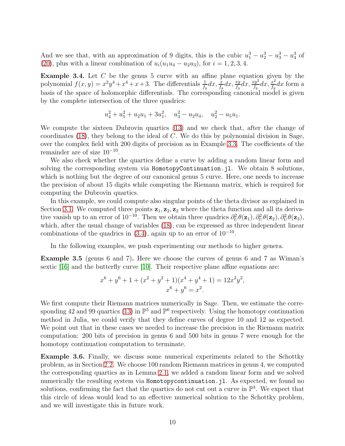And we see that, with an approximation of 9 digits, this is the cubic  $u_1^3 - u_2^3 - u_3^3 - u_4^3$  of [\(20\)](#page-7-0), plus with a linear combination of  $u_i(u_1u_4 - u_2u_3)$ , for  $i = 1, 2, 3, 4$ .

<span id="page-9-1"></span>Example 3.4. Let C be the genus 5 curve with an affine plane equation given by the polynomial  $f(x, y) = x^2y^4 + x^4 + x + 3$ . The differentials  $\frac{1}{f_y}dx$ ,  $\frac{x}{f_y}dx$ ,  $\frac{xy}{f_y}dx$ ,  $\frac{xy^2}{f_y}dx$ ,  $\frac{x^2}{f_y}dx$  $\frac{x^2}{f_y}dx$  form a basis of the space of holomorphic differentials. The corresponding canonical model is given by the complete intersection of the three quadrics:

$$
u_4^2 + u_5^2 + u_2 u_1 + 3u_1^2, \quad u_3^2 - u_2 u_4, \quad u_2^2 - u_5 u_1.
$$

We compute the sixteen Dubrovin quartics [\(13\)](#page-3-2) and we check that, after the change of coordinates  $(18)$ , they belong to the ideal of C. We do this by polynomial division in Sage, over the complex field with 200 digits of precision as in Example [3.3.](#page-7-1) The coefficients of the remainder are of size  $10^{-10}$ .

We also check whether the quartics define a curve by adding a random linear form and solving the corresponding system via HomotopyContinuation.jl. We obtain 8 solutions, which is nothing but the degree of our canonical genus 5 curve. Here, one needs to increase the precision of about 15 digits while computing the Riemann matrix, which is required for computing the Dubrovin quartics.

In this example, we could compute also singular points of the theta divisor as explained in Section [3.1.](#page-5-0) We computed three points  $z_1, z_2, z_2$  where the theta function and all its derivative vanish up to an error of  $10^{-10}$ . Then we obtain three quadrics  $\partial_U^2 \theta(\mathbf{z}_1), \partial_U^2 \theta(\mathbf{z}_2), \partial_U^2 \theta(\mathbf{z}_3)$ , which, after the usual change of variables  $(18)$ , can be expressed as three independent linear combinations of the quadrics in  $(3.4)$ , again up to an error of  $10^{-10}$ .

In the following examples, we push experimenting our methods to higher genera.

Example 3.5 (genus 6 and 7). Here we choose the curves of genus 6 and 7 as Wiman's sextic [\[16\]](#page-10-13) and the butterfly curve [\[10\]](#page-10-14). Their respective plane affine equations are:

$$
x^{6} + y^{6} + 1 + (x^{2} + y^{2} + 1)(x^{4} + y^{4} + 1) = 12x^{2}y^{2},
$$
  

$$
x^{6} + y^{6} = x^{2}.
$$

We first compute their Riemann matrices numerically in Sage. Then, we estimate the corre-sponding 42 and 99 quartics [\(13\)](#page-3-2) in  $\mathbb{P}^5$  and  $\mathbb{P}^6$  respectively. Using the homotopy continuation method in Julia, we could verify that they define curves of degree 10 and 12 as expected. We point out that in these cases we needed to increase the precision in the Riemann matrix computation: 200 bits of precision in genus 6 and 500 bits in genus 7 were enough for the homotopy continuation computation to terminate.

<span id="page-9-0"></span>Example 3.6. Finally, we discuss some numerical experiments related to the Schottky problem, as in Section [2.2.](#page-4-3) We choose 100 random Riemann matrices in genus 4, we computed the corresponding quartics as in Lemma [2.1,](#page-3-0) we added a random linear form and we solved numerically the resulting system via Homotopycontinuation.jl. As expected, we found no solutions, confirming the fact that the quartics do not cut out a curve in  $\mathbb{P}^3$ . We expect that this circle of ideas would lead to an effective numerical solution to the Schottky problem, and we will investigate this in future work.